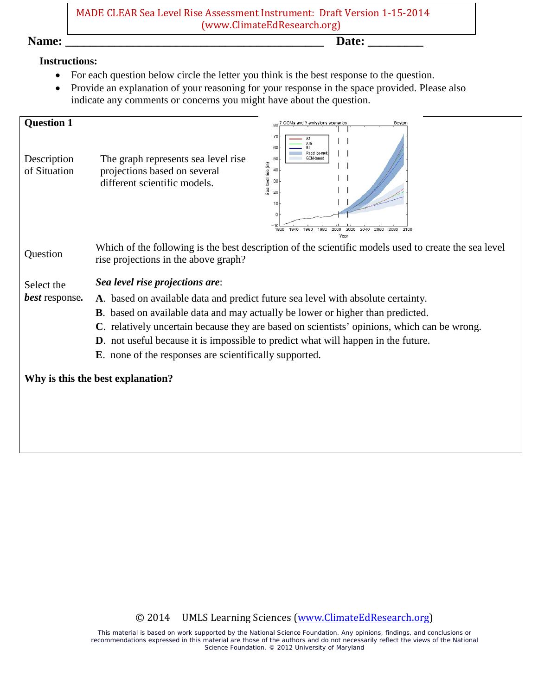MADE CLEAR Sea Level Rise Assessment Instrument: Draft Version 1-15-2014 (www.ClimateEdResearch.org)

**Name: \_\_\_\_\_\_\_\_\_\_\_\_\_\_\_\_\_\_\_\_\_\_\_\_\_\_\_\_\_\_\_\_\_\_\_\_\_\_\_\_\_\_ Date: \_\_\_\_\_\_\_\_\_** 

#### **Instructions:**

- For each question below circle the letter you think is the best response to the question.
- Provide an explanation of your reasoning for your response in the space provided. Please also indicate any comments or concerns you might have about the question.

| <b>Question 1</b><br>Description<br>of Situation | Boston<br>80 7 GCMs and 3 emissions scenarios<br>70<br>A1B<br>60<br>Rapid ice-mel<br>The graph represents sea level rise<br>GCM-based<br>50<br>Sea level rise (in)<br>projections based on several<br>40<br>different scientific models.<br>30<br>20<br>10<br>1960<br>1980<br>2020<br>2040 2060<br>2080<br>1940<br>2000<br>2100<br>1920<br>Year                                                                                                                                                                  |
|--------------------------------------------------|------------------------------------------------------------------------------------------------------------------------------------------------------------------------------------------------------------------------------------------------------------------------------------------------------------------------------------------------------------------------------------------------------------------------------------------------------------------------------------------------------------------|
| Question                                         | Which of the following is the best description of the scientific models used to create the sea level<br>rise projections in the above graph?                                                                                                                                                                                                                                                                                                                                                                     |
| Select the<br><b>best</b> response.              | Sea level rise projections are:<br>A. based on available data and predict future sea level with absolute certainty.<br><b>B</b> . based on available data and may actually be lower or higher than predicted.<br>C. relatively uncertain because they are based on scientists' opinions, which can be wrong.<br><b>D</b> . not useful because it is impossible to predict what will happen in the future.<br><b>E</b> . none of the responses are scientifically supported.<br>Why is this the best explanation? |
|                                                  |                                                                                                                                                                                                                                                                                                                                                                                                                                                                                                                  |

## © 2014 UMLS Learning Sciences [\(www.ClimateEdResearch.org\)](http://www.climateedresearch.org/)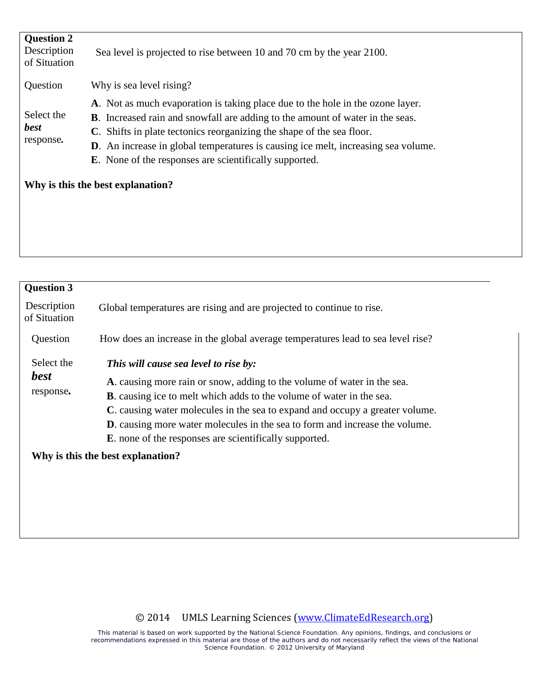| <b>Question 2</b><br>Description<br>of Situation | Sea level is projected to rise between 10 and 70 cm by the year 2100.                                                                                                                                                                                                                                                                                                                                         |  |
|--------------------------------------------------|---------------------------------------------------------------------------------------------------------------------------------------------------------------------------------------------------------------------------------------------------------------------------------------------------------------------------------------------------------------------------------------------------------------|--|
| Question                                         | Why is sea level rising?                                                                                                                                                                                                                                                                                                                                                                                      |  |
| Select the<br><b>best</b><br>response.           | A. Not as much evaporation is taking place due to the hole in the ozone layer.<br><b>B</b> . Increased rain and snowfall are adding to the amount of water in the seas.<br>C. Shifts in plate tectonics reorganizing the shape of the sea floor.<br><b>D.</b> An increase in global temperatures is causing ice melt, increasing sea volume.<br><b>E.</b> None of the responses are scientifically supported. |  |
| Why is this the best explanation?                |                                                                                                                                                                                                                                                                                                                                                                                                               |  |
|                                                  |                                                                                                                                                                                                                                                                                                                                                                                                               |  |

| <b>Question 3</b>                      |                                                                                                                                                                                                                                                                                                                                                                                                                                           |  |
|----------------------------------------|-------------------------------------------------------------------------------------------------------------------------------------------------------------------------------------------------------------------------------------------------------------------------------------------------------------------------------------------------------------------------------------------------------------------------------------------|--|
| Description<br>of Situation            | Global temperatures are rising and are projected to continue to rise.                                                                                                                                                                                                                                                                                                                                                                     |  |
| Question                               | How does an increase in the global average temperatures lead to sea level rise?                                                                                                                                                                                                                                                                                                                                                           |  |
| Select the<br><b>best</b><br>response. | This will cause sea level to rise by:<br>A. causing more rain or snow, adding to the volume of water in the sea.<br><b>B</b> . causing ice to melt which adds to the volume of water in the sea.<br>C. causing water molecules in the sea to expand and occupy a greater volume.<br><b>D</b> . causing more water molecules in the sea to form and increase the volume.<br><b>E</b> , none of the responses are scientifically supported. |  |
| Why is this the best explanation?      |                                                                                                                                                                                                                                                                                                                                                                                                                                           |  |
|                                        |                                                                                                                                                                                                                                                                                                                                                                                                                                           |  |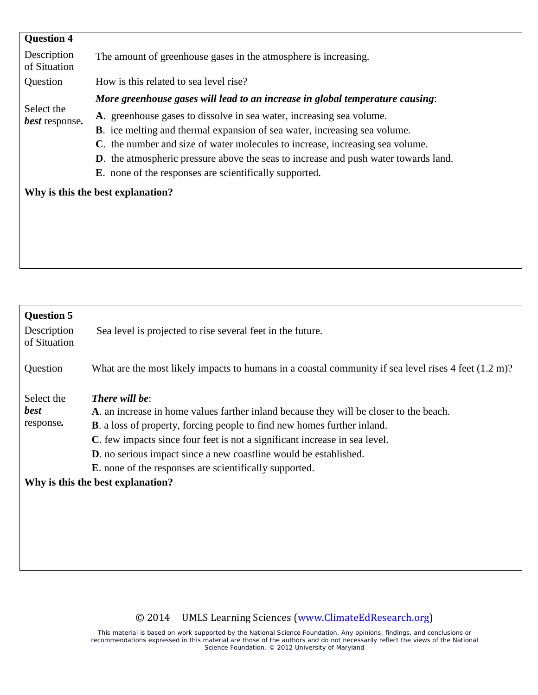| <b>Question 4</b>                   |                                                                                                                                                                                                                                                                                                                                                                                                                                                  |
|-------------------------------------|--------------------------------------------------------------------------------------------------------------------------------------------------------------------------------------------------------------------------------------------------------------------------------------------------------------------------------------------------------------------------------------------------------------------------------------------------|
| Description<br>of Situation         | The amount of greenhouse gases in the atmosphere is increasing.                                                                                                                                                                                                                                                                                                                                                                                  |
| Question                            | How is this related to sea level rise?                                                                                                                                                                                                                                                                                                                                                                                                           |
|                                     | More greenhouse gases will lead to an increase in global temperature causing:                                                                                                                                                                                                                                                                                                                                                                    |
| Select the<br><b>best</b> response. | A. greenhouse gases to dissolve in sea water, increasing sea volume.<br><b>B</b> . ice melting and thermal expansion of sea water, increasing sea volume.<br>C. the number and size of water molecules to increase, increasing sea volume.<br><b>D</b> . the atmospheric pressure above the seas to increase and push water towards land.<br><b>E</b> . none of the responses are scientifically supported.<br>Why is this the best explanation? |
|                                     |                                                                                                                                                                                                                                                                                                                                                                                                                                                  |

| <b>Question 5</b><br>Description<br>of Situation | Sea level is projected to rise several feet in the future.                                                        |  |  |
|--------------------------------------------------|-------------------------------------------------------------------------------------------------------------------|--|--|
| Question                                         | What are the most likely impacts to humans in a coastal community if sea level rises $4$ feet $(1.2 \text{ m})$ ? |  |  |
| Select the                                       | <b>There will be:</b>                                                                                             |  |  |
| <b>best</b>                                      | A. an increase in home values farther inland because they will be closer to the beach.                            |  |  |
| response.                                        | <b>B.</b> a loss of property, forcing people to find new homes further inland.                                    |  |  |
|                                                  | C. few impacts since four feet is not a significant increase in sea level.                                        |  |  |
|                                                  | <b>D</b> . no serious impact since a new coastline would be established.                                          |  |  |
|                                                  | <b>E</b> , none of the responses are scientifically supported.                                                    |  |  |
|                                                  | Why is this the best explanation?                                                                                 |  |  |
|                                                  |                                                                                                                   |  |  |
|                                                  |                                                                                                                   |  |  |
|                                                  |                                                                                                                   |  |  |
|                                                  |                                                                                                                   |  |  |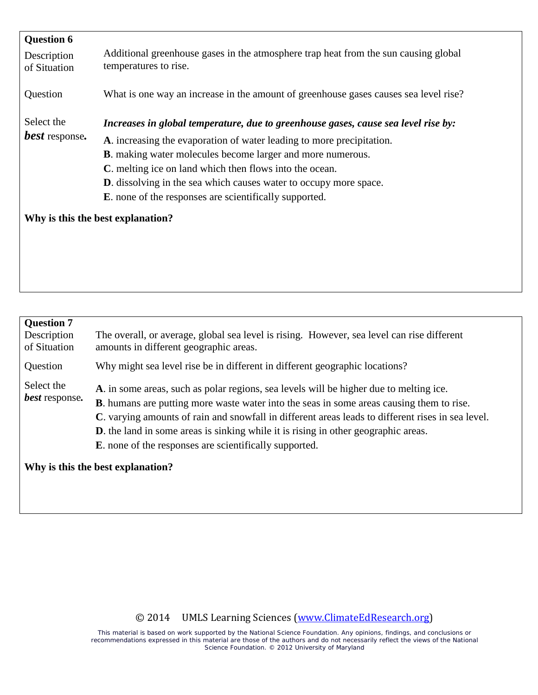| <b>Question 6</b><br>Description<br>of Situation | Additional greenhouse gases in the atmosphere trap heat from the sun causing global<br>temperatures to rise.                                                                                                                                                                                                                                                                                                                               |
|--------------------------------------------------|--------------------------------------------------------------------------------------------------------------------------------------------------------------------------------------------------------------------------------------------------------------------------------------------------------------------------------------------------------------------------------------------------------------------------------------------|
| Question                                         | What is one way an increase in the amount of greenhouse gases causes sea level rise?                                                                                                                                                                                                                                                                                                                                                       |
| Select the<br><b>best</b> response.              | Increases in global temperature, due to greenhouse gases, cause sea level rise by:<br>A. increasing the evaporation of water leading to more precipitation.<br><b>B</b> . making water molecules become larger and more numerous.<br>C. melting ice on land which then flows into the ocean.<br><b>D.</b> dissolving in the sea which causes water to occupy more space.<br><b>E</b> , none of the responses are scientifically supported. |
| Why is this the best explanation?                |                                                                                                                                                                                                                                                                                                                                                                                                                                            |
|                                                  |                                                                                                                                                                                                                                                                                                                                                                                                                                            |

| <b>Question 7</b><br>Description  | The overall, or average, global sea level is rising. However, sea level can rise different                                                                                                                                                                                                                                                                                                                                                                      |
|-----------------------------------|-----------------------------------------------------------------------------------------------------------------------------------------------------------------------------------------------------------------------------------------------------------------------------------------------------------------------------------------------------------------------------------------------------------------------------------------------------------------|
| of Situation                      | amounts in different geographic areas.                                                                                                                                                                                                                                                                                                                                                                                                                          |
| Question                          | Why might sea level rise be in different in different geographic locations?                                                                                                                                                                                                                                                                                                                                                                                     |
| Select the<br>best response.      | A. in some areas, such as polar regions, sea levels will be higher due to melting ice.<br><b>B</b> . humans are putting more waste water into the seas in some areas causing them to rise.<br>C. varying amounts of rain and snowfall in different areas leads to different rises in sea level.<br><b>D</b> . the land in some areas is sinking while it is rising in other geographic areas.<br><b>E</b> , none of the responses are scientifically supported. |
| Why is this the best explanation? |                                                                                                                                                                                                                                                                                                                                                                                                                                                                 |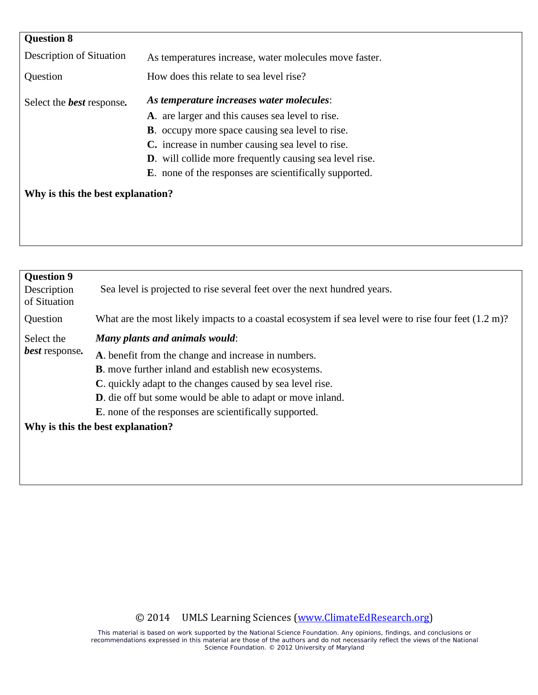| <b>Question 8</b>                 |                                                                |
|-----------------------------------|----------------------------------------------------------------|
| Description of Situation          | As temperatures increase, water molecules move faster.         |
| Question                          | How does this relate to sea level rise?                        |
| Select the <b>best</b> response.  | As temperature increases water molecules:                      |
|                                   | A. are larger and this causes sea level to rise.               |
|                                   | <b>B.</b> occupy more space causing sea level to rise.         |
|                                   | C. increase in number causing sea level to rise.               |
|                                   | <b>D.</b> will collide more frequently causing sea level rise. |
|                                   | <b>E</b> , none of the responses are scientifically supported. |
| Why is this the best explanation? |                                                                |

| <b>Question 9</b><br>Description<br>of Situation | Sea level is projected to rise several feet over the next hundred years.                                                                                                                                                                                                                                                                                                                        |
|--------------------------------------------------|-------------------------------------------------------------------------------------------------------------------------------------------------------------------------------------------------------------------------------------------------------------------------------------------------------------------------------------------------------------------------------------------------|
| Question                                         | What are the most likely impacts to a coastal ecosystem if sea level were to rise four feet $(1.2 \text{ m})$ ?                                                                                                                                                                                                                                                                                 |
| Select the<br><b>best</b> response.              | Many plants and animals would:<br>A. benefit from the change and increase in numbers.<br><b>B</b> . move further inland and establish new ecosystems.<br>C. quickly adapt to the changes caused by sea level rise.<br><b>D</b> . die off but some would be able to adapt or move inland.<br><b>E</b> , none of the responses are scientifically supported.<br>Why is this the best explanation? |
|                                                  |                                                                                                                                                                                                                                                                                                                                                                                                 |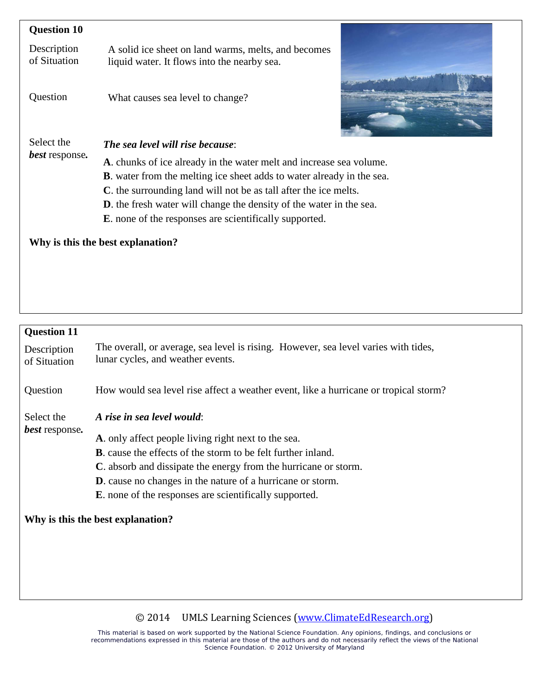| <b>Question 10</b>                |                                                                                                    |
|-----------------------------------|----------------------------------------------------------------------------------------------------|
| Description<br>of Situation       | A solid ice sheet on land warms, melts, and becomes<br>liquid water. It flows into the nearby sea. |
| Question                          | What causes sea level to change?                                                                   |
| Select the                        | The sea level will rise because:                                                                   |
| <i>best</i> response.             | A. chunks of ice already in the water melt and increase sea volume.                                |
|                                   | <b>B</b> . water from the melting ice sheet adds to water already in the sea.                      |
|                                   | C. the surrounding land will not be as tall after the ice melts.                                   |
|                                   | <b>D</b> . the fresh water will change the density of the water in the sea.                        |
|                                   | <b>E</b> , none of the responses are scientifically supported.                                     |
| Why is this the best explanation? |                                                                                                    |

# **Question 11**

| Description<br>of Situation         | The overall, or average, sea level is rising. However, sea level varies with tides,<br>lunar cycles, and weather events.                                                                                                                                                                                                                                             |
|-------------------------------------|----------------------------------------------------------------------------------------------------------------------------------------------------------------------------------------------------------------------------------------------------------------------------------------------------------------------------------------------------------------------|
| Question                            | How would sea level rise affect a weather event, like a hurricane or tropical storm?                                                                                                                                                                                                                                                                                 |
| Select the<br><b>best</b> response. | A rise in sea level would:<br>A. only affect people living right next to the sea.<br><b>B</b> . cause the effects of the storm to be felt further inland.<br>C. absorb and dissipate the energy from the hurricane or storm.<br><b>D</b> . cause no changes in the nature of a hurricane or storm.<br><b>E</b> , none of the responses are scientifically supported. |

## **Why is this the best explanation?**

## © 2014 UMLS Learning Sciences [\(www.ClimateEdResearch.org\)](http://www.climateedresearch.org/)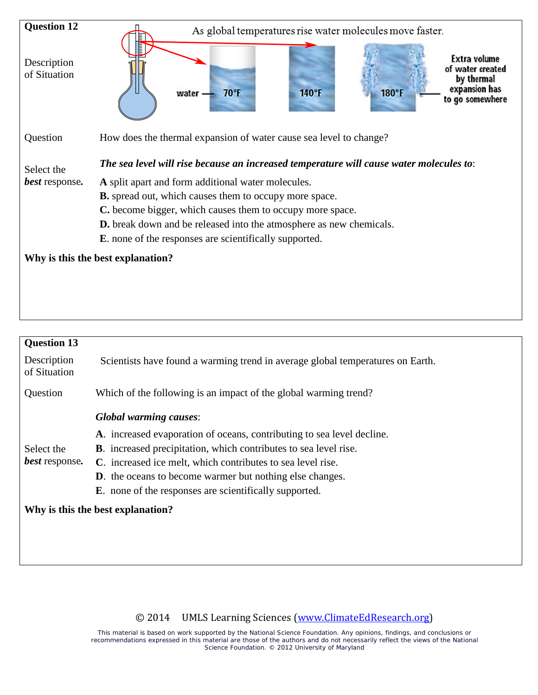

| <b>Question 13</b>                |                                                                                |
|-----------------------------------|--------------------------------------------------------------------------------|
| Description<br>of Situation       | Scientists have found a warming trend in average global temperatures on Earth. |
| Question                          | Which of the following is an impact of the global warming trend?               |
|                                   | <b>Global warming causes:</b>                                                  |
|                                   | A. increased evaporation of oceans, contributing to sea level decline.         |
| Select the                        | <b>B</b> . increased precipitation, which contributes to sea level rise.       |
| <b>best</b> response.             | C. increased ice melt, which contributes to sea level rise.                    |
|                                   | <b>D.</b> the oceans to become warmer but nothing else changes.                |
|                                   | <b>E</b> . none of the responses are scientifically supported.                 |
| Why is this the best explanation? |                                                                                |
|                                   |                                                                                |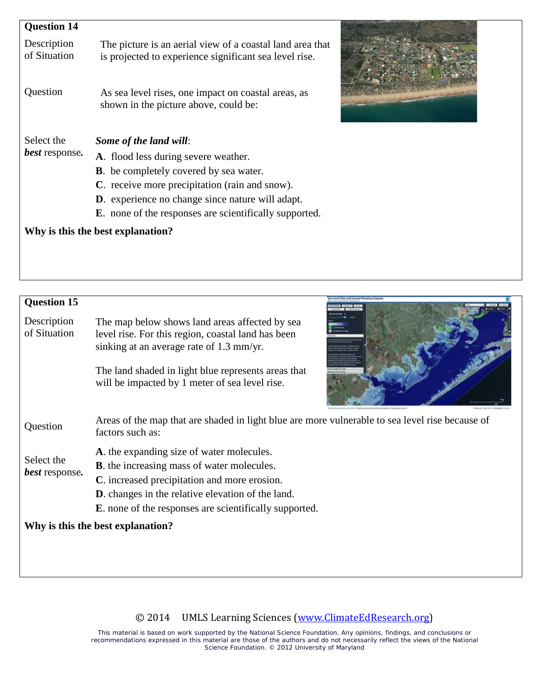| <b>Question 14</b>                         |                                                                                                                     |  |
|--------------------------------------------|---------------------------------------------------------------------------------------------------------------------|--|
| Description<br>of Situation                | The picture is an aerial view of a coastal land area that<br>is projected to experience significant sea level rise. |  |
| Question                                   | As sea level rises, one impact on coastal areas, as<br>shown in the picture above, could be:                        |  |
| Select the<br><b><i>best</i></b> response. | Some of the land will:                                                                                              |  |
|                                            | A. flood less during severe weather.                                                                                |  |
|                                            | <b>B</b> . be completely covered by sea water.                                                                      |  |
|                                            | C. receive more precipitation (rain and snow).                                                                      |  |
|                                            | <b>D</b> . experience no change since nature will adapt.                                                            |  |
|                                            | <b>E</b> . none of the responses are scientifically supported.                                                      |  |
|                                            | Why is this the best explanation?                                                                                   |  |

| <b>Question 15</b><br>Description<br>of Situation | The map below shows land areas affected by sea<br>level rise. For this region, coastal land has been<br>sinking at an average rate of 1.3 mm/yr.<br>The land shaded in light blue represents areas that<br>will be impacted by 1 meter of sea level rise.                      |  |  |
|---------------------------------------------------|--------------------------------------------------------------------------------------------------------------------------------------------------------------------------------------------------------------------------------------------------------------------------------|--|--|
| Question                                          | Areas of the map that are shaded in light blue are more vulnerable to sea level rise because of<br>factors such as:                                                                                                                                                            |  |  |
| Select the<br><i>best</i> response.               | A. the expanding size of water molecules.<br><b>B</b> , the increasing mass of water molecules.<br>C. increased precipitation and more erosion.<br><b>D</b> . changes in the relative elevation of the land.<br><b>E</b> , none of the responses are scientifically supported. |  |  |
| Why is this the best explanation?                 |                                                                                                                                                                                                                                                                                |  |  |
|                                                   |                                                                                                                                                                                                                                                                                |  |  |